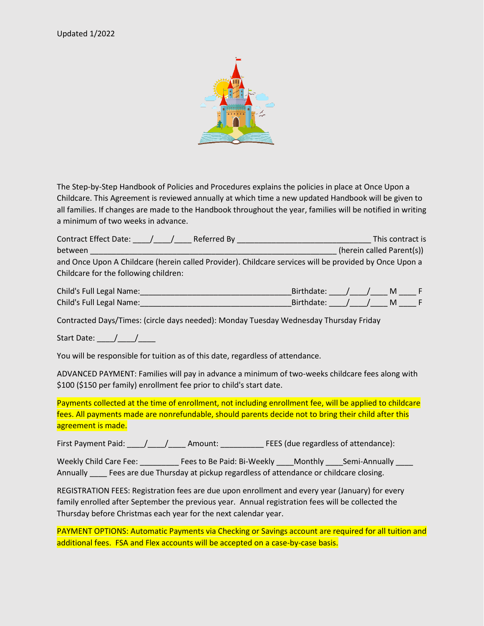

The Step-by-Step Handbook of Policies and Procedures explains the policies in place at Once Upon a Childcare. This Agreement is reviewed annually at which time a new updated Handbook will be given to all families. If changes are made to the Handbook throughout the year, families will be notified in writing a minimum of two weeks in advance.

| <b>Contract Effect Date:</b><br>Referred By | This contract is                                                                                       |
|---------------------------------------------|--------------------------------------------------------------------------------------------------------|
| between                                     | (herein called Parent(s))                                                                              |
|                                             | and Once Upon A Childcare (herein called Provider). Childcare services will be provided by Once Upon a |
| Childcare for the following children:       |                                                                                                        |

| Child's Full Legal Name: | Birthdate: |  |  |
|--------------------------|------------|--|--|
| Child's Full Legal Name: | Birthdate: |  |  |

Contracted Days/Times: (circle days needed): Monday Tuesday Wednesday Thursday Friday

Start Date:  $\frac{1}{\sqrt{2}}$ 

You will be responsible for tuition as of this date, regardless of attendance.

ADVANCED PAYMENT: Families will pay in advance a minimum of two-weeks childcare fees along with \$100 (\$150 per family) enrollment fee prior to child's start date.

Payments collected at the time of enrollment, not including enrollment fee, will be applied to childcare fees. All payments made are nonrefundable, should parents decide not to bring their child after this agreement is made.

First Payment Paid: \_\_\_\_\_/\_\_\_\_\_/\_\_\_\_\_\_ Amount: \_\_\_\_\_\_\_\_\_\_\_\_\_\_ FEES (due regardless of attendance):

Weekly Child Care Fee: \_\_\_\_\_\_\_\_\_\_ Fees to Be Paid: Bi-Weekly \_\_\_\_ Monthly \_\_\_\_ Semi-Annually \_\_\_ Annually \_\_\_\_ Fees are due Thursday at pickup regardless of attendance or childcare closing.

REGISTRATION FEES: Registration fees are due upon enrollment and every year (January) for every family enrolled after September the previous year. Annual registration fees will be collected the Thursday before Christmas each year for the next calendar year.

PAYMENT OPTIONS: Automatic Payments via Checking or Savings account are required for all tuition and additional fees. FSA and Flex accounts will be accepted on a case-by-case basis.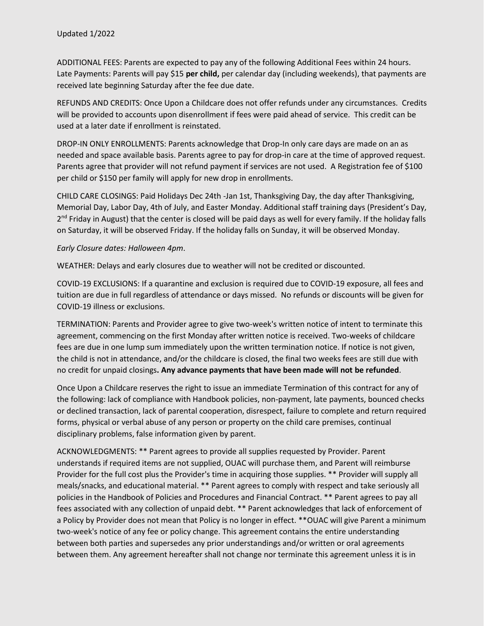ADDITIONAL FEES: Parents are expected to pay any of the following Additional Fees within 24 hours. Late Payments: Parents will pay \$15 **per child,** per calendar day (including weekends), that payments are received late beginning Saturday after the fee due date.

REFUNDS AND CREDITS: Once Upon a Childcare does not offer refunds under any circumstances. Credits will be provided to accounts upon disenrollment if fees were paid ahead of service. This credit can be used at a later date if enrollment is reinstated.

DROP-IN ONLY ENROLLMENTS: Parents acknowledge that Drop-In only care days are made on an as needed and space available basis. Parents agree to pay for drop-in care at the time of approved request. Parents agree that provider will not refund payment if services are not used. A Registration fee of \$100 per child or \$150 per family will apply for new drop in enrollments.

CHILD CARE CLOSINGS: Paid Holidays Dec 24th -Jan 1st, Thanksgiving Day, the day after Thanksgiving, Memorial Day, Labor Day, 4th of July, and Easter Monday. Additional staff training days (President's Day, 2<sup>nd</sup> Friday in August) that the center is closed will be paid days as well for every family. If the holiday falls on Saturday, it will be observed Friday. If the holiday falls on Sunday, it will be observed Monday.

## *Early Closure dates: Halloween 4pm*.

WEATHER: Delays and early closures due to weather will not be credited or discounted.

COVID-19 EXCLUSIONS: If a quarantine and exclusion is required due to COVID-19 exposure, all fees and tuition are due in full regardless of attendance or days missed. No refunds or discounts will be given for COVID-19 illness or exclusions.

TERMINATION: Parents and Provider agree to give two-week's written notice of intent to terminate this agreement, commencing on the first Monday after written notice is received. Two-weeks of childcare fees are due in one lump sum immediately upon the written termination notice. If notice is not given, the child is not in attendance, and/or the childcare is closed, the final two weeks fees are still due with no credit for unpaid closings**. Any advance payments that have been made will not be refunded**.

Once Upon a Childcare reserves the right to issue an immediate Termination of this contract for any of the following: lack of compliance with Handbook policies, non-payment, late payments, bounced checks or declined transaction, lack of parental cooperation, disrespect, failure to complete and return required forms, physical or verbal abuse of any person or property on the child care premises, continual disciplinary problems, false information given by parent.

ACKNOWLEDGMENTS: \*\* Parent agrees to provide all supplies requested by Provider. Parent understands if required items are not supplied, OUAC will purchase them, and Parent will reimburse Provider for the full cost plus the Provider's time in acquiring those supplies. \*\* Provider will supply all meals/snacks, and educational material. \*\* Parent agrees to comply with respect and take seriously all policies in the Handbook of Policies and Procedures and Financial Contract. \*\* Parent agrees to pay all fees associated with any collection of unpaid debt. \*\* Parent acknowledges that lack of enforcement of a Policy by Provider does not mean that Policy is no longer in effect. \*\*OUAC will give Parent a minimum two-week's notice of any fee or policy change. This agreement contains the entire understanding between both parties and supersedes any prior understandings and/or written or oral agreements between them. Any agreement hereafter shall not change nor terminate this agreement unless it is in